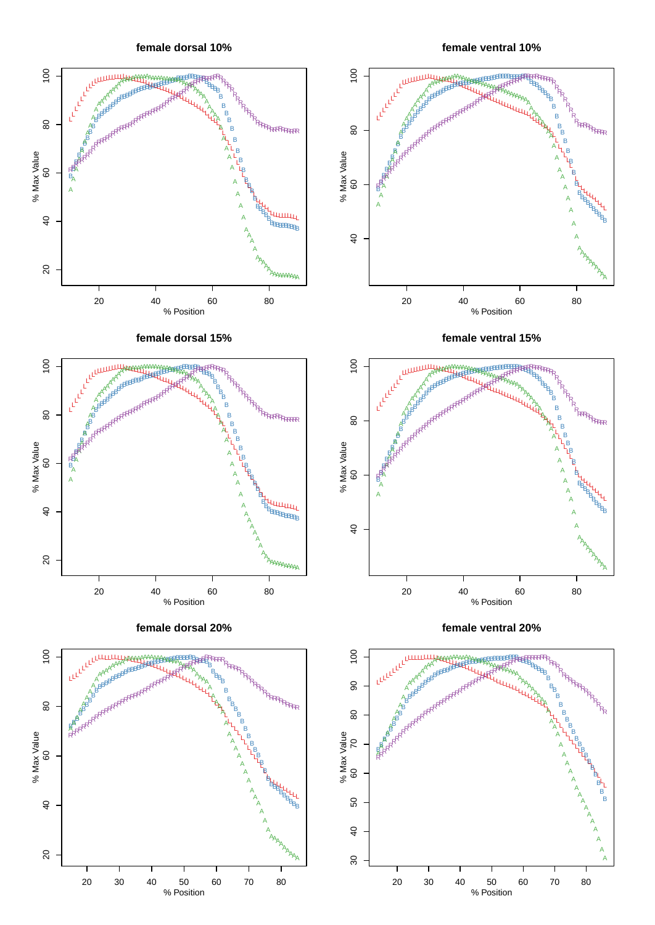**female dorsal 10%**

**female ventral 10%**